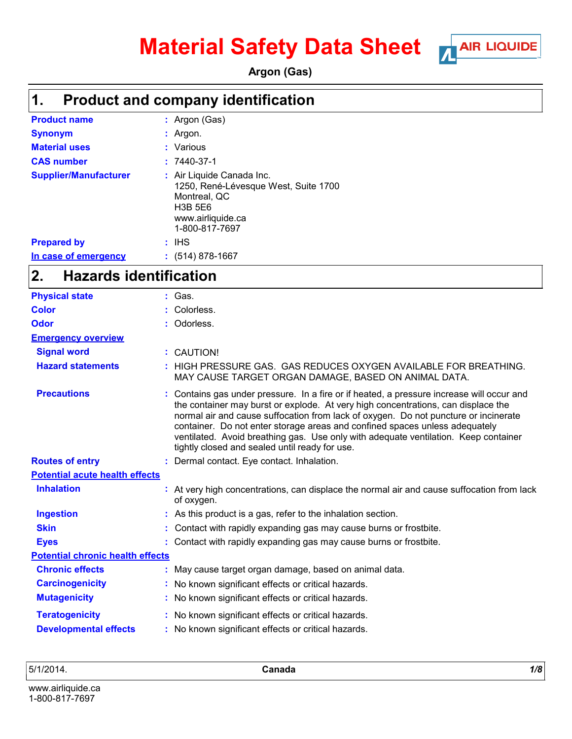# **Material Safety Data Sheet** Mare LIQUIDE



**Argon (Gas)**

### **Product and company identification 1.**

| <b>Product name</b>          | : Argon (Gas)                                                                                                                              |
|------------------------------|--------------------------------------------------------------------------------------------------------------------------------------------|
| <b>Synonym</b>               | $:$ Argon.                                                                                                                                 |
| <b>Material uses</b>         | : Various                                                                                                                                  |
| <b>CAS number</b>            | $: 7440 - 37 - 1$                                                                                                                          |
| <b>Supplier/Manufacturer</b> | : Air Liquide Canada Inc.<br>1250, René-Lévesque West, Suite 1700<br>Montreal, QC<br><b>H3B 5E6</b><br>www.airliquide.ca<br>1-800-817-7697 |
| <b>Prepared by</b>           | : IHS                                                                                                                                      |
| In case of emergency         | $: (514) 878-1667$                                                                                                                         |

#### **Hazards identification 2.**

| <b>Physical state</b>                   | : Gas.                                                                                                                                                                                                                                                                                                                                                                                                                                                                                        |
|-----------------------------------------|-----------------------------------------------------------------------------------------------------------------------------------------------------------------------------------------------------------------------------------------------------------------------------------------------------------------------------------------------------------------------------------------------------------------------------------------------------------------------------------------------|
| <b>Color</b>                            | : Colorless.                                                                                                                                                                                                                                                                                                                                                                                                                                                                                  |
| Odor                                    | : Odorless.                                                                                                                                                                                                                                                                                                                                                                                                                                                                                   |
| <b>Emergency overview</b>               |                                                                                                                                                                                                                                                                                                                                                                                                                                                                                               |
| <b>Signal word</b>                      | : CAUTION!                                                                                                                                                                                                                                                                                                                                                                                                                                                                                    |
| <b>Hazard statements</b>                | : HIGH PRESSURE GAS. GAS REDUCES OXYGEN AVAILABLE FOR BREATHING.<br>MAY CAUSE TARGET ORGAN DAMAGE, BASED ON ANIMAL DATA.                                                                                                                                                                                                                                                                                                                                                                      |
| <b>Precautions</b>                      | : Contains gas under pressure. In a fire or if heated, a pressure increase will occur and<br>the container may burst or explode. At very high concentrations, can displace the<br>normal air and cause suffocation from lack of oxygen. Do not puncture or incinerate<br>container. Do not enter storage areas and confined spaces unless adequately<br>ventilated. Avoid breathing gas. Use only with adequate ventilation. Keep container<br>tightly closed and sealed until ready for use. |
| <b>Routes of entry</b>                  | : Dermal contact. Eye contact. Inhalation.                                                                                                                                                                                                                                                                                                                                                                                                                                                    |
| <b>Potential acute health effects</b>   |                                                                                                                                                                                                                                                                                                                                                                                                                                                                                               |
| <b>Inhalation</b>                       | : At very high concentrations, can displace the normal air and cause suffocation from lack<br>of oxygen.                                                                                                                                                                                                                                                                                                                                                                                      |
| <b>Ingestion</b>                        | : As this product is a gas, refer to the inhalation section.                                                                                                                                                                                                                                                                                                                                                                                                                                  |
| <b>Skin</b>                             | Contact with rapidly expanding gas may cause burns or frostbite.                                                                                                                                                                                                                                                                                                                                                                                                                              |
| <b>Eyes</b>                             | : Contact with rapidly expanding gas may cause burns or frostbite.                                                                                                                                                                                                                                                                                                                                                                                                                            |
| <b>Potential chronic health effects</b> |                                                                                                                                                                                                                                                                                                                                                                                                                                                                                               |
| <b>Chronic effects</b>                  | : May cause target organ damage, based on animal data.                                                                                                                                                                                                                                                                                                                                                                                                                                        |
| <b>Carcinogenicity</b>                  | : No known significant effects or critical hazards.                                                                                                                                                                                                                                                                                                                                                                                                                                           |
| <b>Mutagenicity</b>                     | : No known significant effects or critical hazards.                                                                                                                                                                                                                                                                                                                                                                                                                                           |
| <b>Teratogenicity</b>                   | : No known significant effects or critical hazards.                                                                                                                                                                                                                                                                                                                                                                                                                                           |
| <b>Developmental effects</b>            | : No known significant effects or critical hazards.                                                                                                                                                                                                                                                                                                                                                                                                                                           |
|                                         |                                                                                                                                                                                                                                                                                                                                                                                                                                                                                               |

5/1/2014. **Canada** *1/8*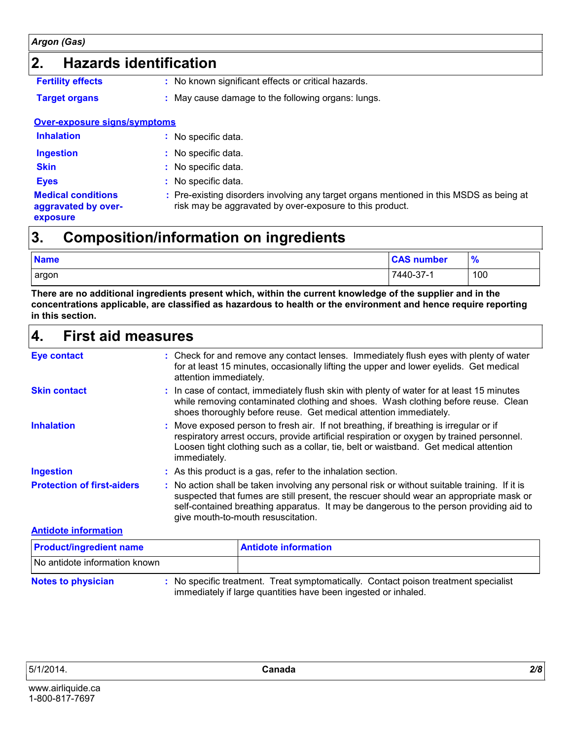### **2. Hazards identification**

- **Fertility effects :**
- 

: No known significant effects or critical hazards.

**Target organs :** May cause damage to the following organs: lungs.

#### **Over-exposure signs/symptoms**

| <b>Inhalation</b> | : No specific data. |
|-------------------|---------------------|
|-------------------|---------------------|

- 
- **Ingestion :** No specific data.
- **Skin :** No specific data.
- **Eyes :** No specific data.

#### **Medical conditions aggravated by overexposure**

Pre-existing disorders involving any target organs mentioned in this MSDS as being at **:** risk may be aggravated by over-exposure to this product.

### **Composition/information on ingredients 3.**

| <b>Name</b> | <b>CAS number</b> | $\frac{9}{6}$ |
|-------------|-------------------|---------------|
| argon       | 7440-37-1         | 100           |

**There are no additional ingredients present which, within the current knowledge of the supplier and in the concentrations applicable, are classified as hazardous to health or the environment and hence require reporting in this section.**

### **First aid measures 4. Eye contact**

| Eye contact                       | : Check for and remove any contact lenses. Immediately flush eyes with plenty of water<br>for at least 15 minutes, occasionally lifting the upper and lower eyelids. Get medical<br>attention immediately.                                                                                                              |
|-----------------------------------|-------------------------------------------------------------------------------------------------------------------------------------------------------------------------------------------------------------------------------------------------------------------------------------------------------------------------|
| <b>Skin contact</b>               | : In case of contact, immediately flush skin with plenty of water for at least 15 minutes<br>while removing contaminated clothing and shoes. Wash clothing before reuse. Clean<br>shoes thoroughly before reuse. Get medical attention immediately.                                                                     |
| <b>Inhalation</b>                 | : Move exposed person to fresh air. If not breathing, if breathing is irregular or if<br>respiratory arrest occurs, provide artificial respiration or oxygen by trained personnel.<br>Loosen tight clothing such as a collar, tie, belt or waistband. Get medical attention<br>immediately.                             |
| <b>Ingestion</b>                  | : As this product is a gas, refer to the inhalation section.                                                                                                                                                                                                                                                            |
| <b>Protection of first-aiders</b> | : No action shall be taken involving any personal risk or without suitable training. If it is<br>suspected that fumes are still present, the rescuer should wear an appropriate mask or<br>self-contained breathing apparatus. It may be dangerous to the person providing aid to<br>give mouth-to-mouth resuscitation. |
| <b>Antidote information</b>       |                                                                                                                                                                                                                                                                                                                         |
|                                   |                                                                                                                                                                                                                                                                                                                         |

| <b>Product/ingredient name</b> | <b>Antidote information</b>                                                                                                                           |
|--------------------------------|-------------------------------------------------------------------------------------------------------------------------------------------------------|
| No antidote information known  |                                                                                                                                                       |
| <b>Notes to physician</b>      | : No specific treatment. Treat symptomatically. Contact poison treatment specialist<br>immediately if large quantities have been ingested or inhaled. |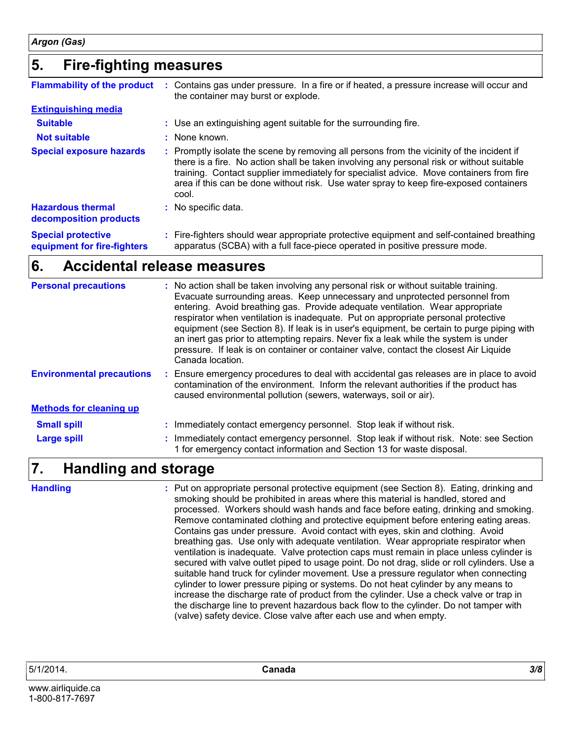### **Fire-fighting measures 5.**

| <b>Flammability of the product</b>                       | Contains gas under pressure. In a fire or if heated, a pressure increase will occur and<br>the container may burst or explode.                                                                                                                                                                                                                                                       |
|----------------------------------------------------------|--------------------------------------------------------------------------------------------------------------------------------------------------------------------------------------------------------------------------------------------------------------------------------------------------------------------------------------------------------------------------------------|
| <b>Extinguishing media</b>                               |                                                                                                                                                                                                                                                                                                                                                                                      |
| <b>Suitable</b>                                          | : Use an extinguishing agent suitable for the surrounding fire.                                                                                                                                                                                                                                                                                                                      |
| <b>Not suitable</b>                                      | $:$ None known.                                                                                                                                                                                                                                                                                                                                                                      |
| <b>Special exposure hazards</b>                          | : Promptly isolate the scene by removing all persons from the vicinity of the incident if<br>there is a fire. No action shall be taken involving any personal risk or without suitable<br>training. Contact supplier immediately for specialist advice. Move containers from fire<br>area if this can be done without risk. Use water spray to keep fire-exposed containers<br>cool. |
| <b>Hazardous thermal</b><br>decomposition products       | : No specific data.                                                                                                                                                                                                                                                                                                                                                                  |
| <b>Special protective</b><br>equipment for fire-fighters | : Fire-fighters should wear appropriate protective equipment and self-contained breathing<br>apparatus (SCBA) with a full face-piece operated in positive pressure mode.                                                                                                                                                                                                             |

### **Accidental release measures 6.**

| <b>Personal precautions</b>      | : No action shall be taken involving any personal risk or without suitable training.<br>Evacuate surrounding areas. Keep unnecessary and unprotected personnel from<br>entering. Avoid breathing gas. Provide adequate ventilation. Wear appropriate<br>respirator when ventilation is inadequate. Put on appropriate personal protective<br>equipment (see Section 8). If leak is in user's equipment, be certain to purge piping with<br>an inert gas prior to attempting repairs. Never fix a leak while the system is under<br>pressure. If leak is on container or container valve, contact the closest Air Liquide<br>Canada location. |
|----------------------------------|----------------------------------------------------------------------------------------------------------------------------------------------------------------------------------------------------------------------------------------------------------------------------------------------------------------------------------------------------------------------------------------------------------------------------------------------------------------------------------------------------------------------------------------------------------------------------------------------------------------------------------------------|
| <b>Environmental precautions</b> | : Ensure emergency procedures to deal with accidental gas releases are in place to avoid<br>contamination of the environment. Inform the relevant authorities if the product has<br>caused environmental pollution (sewers, waterways, soil or air).                                                                                                                                                                                                                                                                                                                                                                                         |
| <b>Methods for cleaning up</b>   |                                                                                                                                                                                                                                                                                                                                                                                                                                                                                                                                                                                                                                              |
| <b>Small spill</b>               | : Immediately contact emergency personnel. Stop leak if without risk.                                                                                                                                                                                                                                                                                                                                                                                                                                                                                                                                                                        |
| <b>Large spill</b>               | : Immediately contact emergency personnel. Stop leak if without risk. Note: see Section<br>1 for emergency contact information and Section 13 for waste disposal.                                                                                                                                                                                                                                                                                                                                                                                                                                                                            |
|                                  |                                                                                                                                                                                                                                                                                                                                                                                                                                                                                                                                                                                                                                              |

### **Handling and storage 7.**

: Put on appropriate personal protective equipment (see Section 8). Eating, drinking and smoking should be prohibited in areas where this material is handled, stored and processed. Workers should wash hands and face before eating, drinking and smoking. Remove contaminated clothing and protective equipment before entering eating areas. Contains gas under pressure. Avoid contact with eyes, skin and clothing. Avoid breathing gas. Use only with adequate ventilation. Wear appropriate respirator when ventilation is inadequate. Valve protection caps must remain in place unless cylinder is secured with valve outlet piped to usage point. Do not drag, slide or roll cylinders. Use a suitable hand truck for cylinder movement. Use a pressure regulator when connecting cylinder to lower pressure piping or systems. Do not heat cylinder by any means to increase the discharge rate of product from the cylinder. Use a check valve or trap in the discharge line to prevent hazardous back flow to the cylinder. Do not tamper with (valve) safety device. Close valve after each use and when empty. **Handling :**

www.airliquide.ca 1-800-817-7697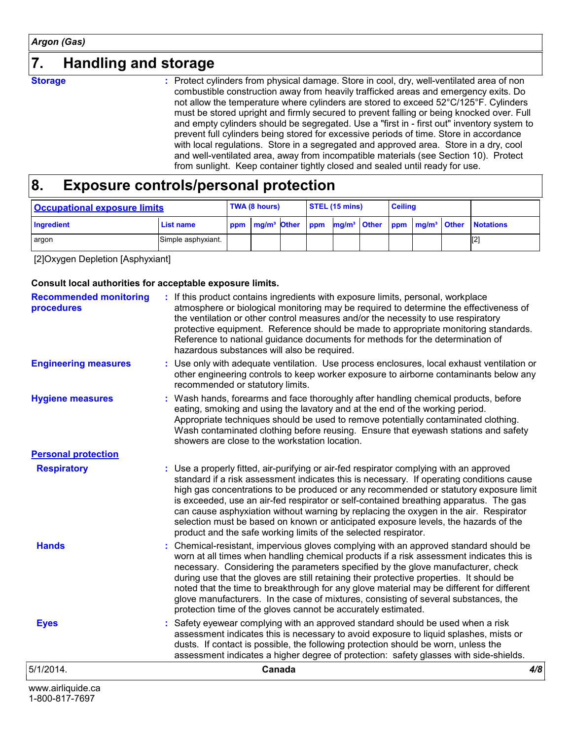### **7. Handling and storage**

**Storage :**

: Protect cylinders from physical damage. Store in cool, dry, well-ventilated area of non combustible construction away from heavily trafficked areas and emergency exits. Do not allow the temperature where cylinders are stored to exceed 52°C/125°F. Cylinders must be stored upright and firmly secured to prevent falling or being knocked over. Full and empty cylinders should be segregated. Use a "first in - first out" inventory system to prevent full cylinders being stored for excessive periods of time. Store in accordance with local regulations. Store in a segregated and approved area. Store in a dry, cool and well-ventilated area, away from incompatible materials (see Section 10). Protect from sunlight. Keep container tightly closed and sealed until ready for use.

#### **Exposure controls/personal protection 8.**

| <b>Occupational exposure limits</b> |                    | TWA (8 hours) |  |  | $\overline{\phantom{a}}$ STEL (15 mins) |  |                                                                                                   | <b>Ceiling</b> |  |  |                  |
|-------------------------------------|--------------------|---------------|--|--|-----------------------------------------|--|---------------------------------------------------------------------------------------------------|----------------|--|--|------------------|
| Ingredient                          | <b>List name</b>   |               |  |  |                                         |  | ppm   mg/m <sup>3</sup> Other   ppm   mg/m <sup>3</sup>   Other   ppm   mg/m <sup>3</sup>   Other |                |  |  | <b>Notations</b> |
| argon                               | Simple asphyxiant. |               |  |  |                                         |  |                                                                                                   |                |  |  | [2]              |

[2]Oxygen Depletion [Asphyxiant]

1-800-817-7697

#### **Consult local authorities for acceptable exposure limits.**

| www.airliquide.ca                           |                                                                                                                                                                                                                                                                                                                                                                                                                                                                                                                                                                                                                          |     |
|---------------------------------------------|--------------------------------------------------------------------------------------------------------------------------------------------------------------------------------------------------------------------------------------------------------------------------------------------------------------------------------------------------------------------------------------------------------------------------------------------------------------------------------------------------------------------------------------------------------------------------------------------------------------------------|-----|
| 5/1/2014.                                   | Canada                                                                                                                                                                                                                                                                                                                                                                                                                                                                                                                                                                                                                   | 4/8 |
| <b>Eyes</b>                                 | Safety eyewear complying with an approved standard should be used when a risk<br>assessment indicates this is necessary to avoid exposure to liquid splashes, mists or<br>dusts. If contact is possible, the following protection should be worn, unless the<br>assessment indicates a higher degree of protection: safety glasses with side-shields.                                                                                                                                                                                                                                                                    |     |
| <b>Hands</b>                                | : Chemical-resistant, impervious gloves complying with an approved standard should be<br>worn at all times when handling chemical products if a risk assessment indicates this is<br>necessary. Considering the parameters specified by the glove manufacturer, check<br>during use that the gloves are still retaining their protective properties. It should be<br>noted that the time to breakthrough for any glove material may be different for different<br>glove manufacturers. In the case of mixtures, consisting of several substances, the<br>protection time of the gloves cannot be accurately estimated.   |     |
| <b>Respiratory</b>                          | : Use a properly fitted, air-purifying or air-fed respirator complying with an approved<br>standard if a risk assessment indicates this is necessary. If operating conditions cause<br>high gas concentrations to be produced or any recommended or statutory exposure limit<br>is exceeded, use an air-fed respirator or self-contained breathing apparatus. The gas<br>can cause asphyxiation without warning by replacing the oxygen in the air. Respirator<br>selection must be based on known or anticipated exposure levels, the hazards of the<br>product and the safe working limits of the selected respirator. |     |
| <b>Personal protection</b>                  | showers are close to the workstation location.                                                                                                                                                                                                                                                                                                                                                                                                                                                                                                                                                                           |     |
| <b>Hygiene measures</b>                     | : Wash hands, forearms and face thoroughly after handling chemical products, before<br>eating, smoking and using the lavatory and at the end of the working period.<br>Appropriate techniques should be used to remove potentially contaminated clothing.<br>Wash contaminated clothing before reusing. Ensure that eyewash stations and safety                                                                                                                                                                                                                                                                          |     |
| <b>Engineering measures</b>                 | : Use only with adequate ventilation. Use process enclosures, local exhaust ventilation or<br>other engineering controls to keep worker exposure to airborne contaminants below any<br>recommended or statutory limits.                                                                                                                                                                                                                                                                                                                                                                                                  |     |
| <b>Recommended monitoring</b><br>procedures | : If this product contains ingredients with exposure limits, personal, workplace<br>atmosphere or biological monitoring may be required to determine the effectiveness of<br>the ventilation or other control measures and/or the necessity to use respiratory<br>protective equipment. Reference should be made to appropriate monitoring standards.<br>Reference to national guidance documents for methods for the determination of<br>hazardous substances will also be required.                                                                                                                                    |     |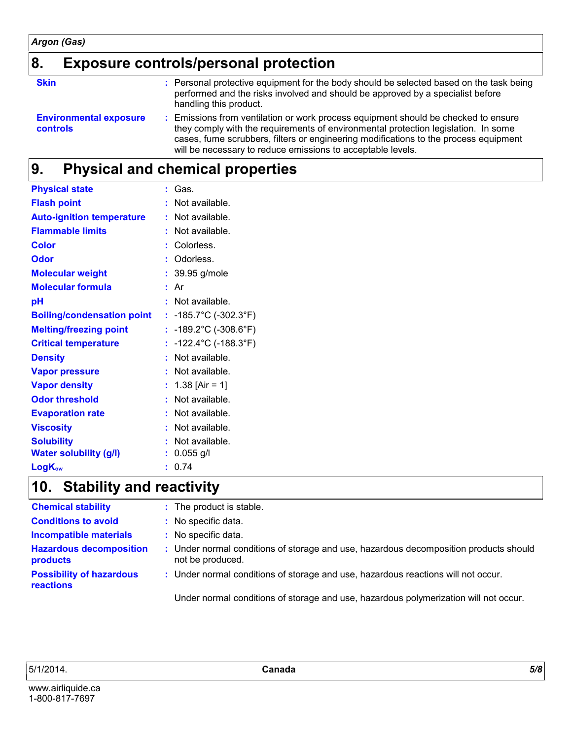### **8. Exposure controls/personal protection**

**Skin Example 20 Servest Show Show Should** be selected based on the task being **Show Should** be selected based on the task being performed and the risks involved and should be approved by a specialist before handling this product.

**Environmental exposure controls :** Emissions from ventilation or work process equipment should be checked to ensure they comply with the requirements of environmental protection legislation. In some cases, fume scrubbers, filters or engineering modifications to the process equipment will be necessary to reduce emissions to acceptable levels.

### **Physical and chemical properties 9.**

| <b>Physical state</b>             | : Gas.                                     |
|-----------------------------------|--------------------------------------------|
| <b>Flash point</b>                | : Not available.                           |
| <b>Auto-ignition temperature</b>  | : Not available.                           |
| <b>Flammable limits</b>           | : Not available.                           |
| <b>Color</b>                      | : Colorless.                               |
| <b>Odor</b>                       | : Odorless.                                |
| <b>Molecular weight</b>           | $: 39.95$ g/mole                           |
| <b>Molecular formula</b>          | : Ar                                       |
| pH                                | : Not available.                           |
| <b>Boiling/condensation point</b> | : $-185.7^{\circ}$ C ( $-302.3^{\circ}$ F) |
| <b>Melting/freezing point</b>     | : $-189.2^{\circ}$ C ( $-308.6^{\circ}$ F) |
| <b>Critical temperature</b>       | : $-122.4^{\circ}$ C ( $-188.3^{\circ}$ F) |
| <b>Density</b>                    | : Not available.                           |
| <b>Vapor pressure</b>             | : Not available.                           |
| <b>Vapor density</b>              | : $1.38$ [Air = 1]                         |
| <b>Odor threshold</b>             | : Not available.                           |
| <b>Evaporation rate</b>           | : Not available.                           |
| <b>Viscosity</b>                  | : Not available.                           |
| <b>Solubility</b>                 | Not available.                             |
| <b>Water solubility (g/l)</b>     | $: 0.055$ g/l                              |
| <b>LogKow</b>                     | : 0.74                                     |

### **Stability and reactivity 10.**

| <b>Chemical stability</b>                    | : The product is stable.                                                                                  |
|----------------------------------------------|-----------------------------------------------------------------------------------------------------------|
| <b>Conditions to avoid</b>                   | : No specific data.                                                                                       |
| <b>Incompatible materials</b>                | : No specific data.                                                                                       |
| <b>Hazardous decomposition</b><br>products   | : Under normal conditions of storage and use, hazardous decomposition products should<br>not be produced. |
| <b>Possibility of hazardous</b><br>reactions | : Under normal conditions of storage and use, hazardous reactions will not occur.                         |
|                                              | Under normal conditions of storage and use, hazardous polymerization will not occur.                      |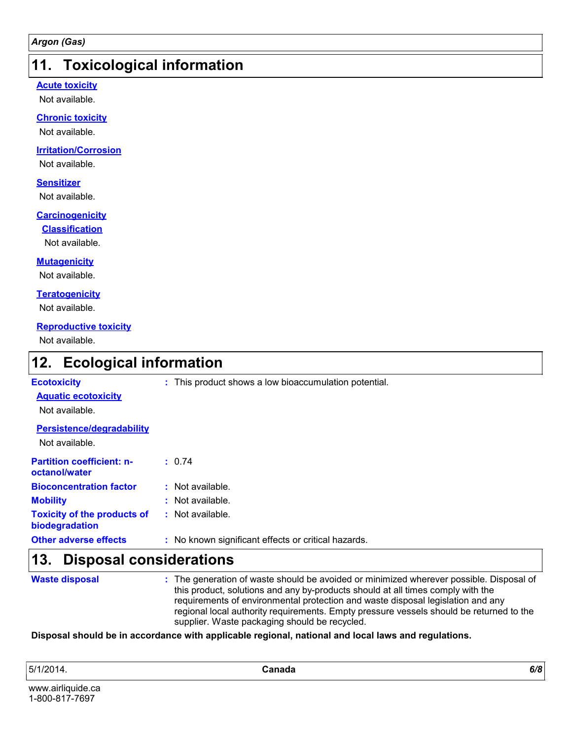### **11. Toxicological information**

#### **Acute toxicity**

Not available.

#### **Chronic toxicity**

Not available.

#### **Irritation/Corrosion**

Not available.

#### **Sensitizer**

Not available.

#### **Carcinogenicity**

**Classification**

Not available.

#### **Mutagenicity**

Not available.

#### **Teratogenicity**

Not available.

#### **Reproductive toxicity**

Not available.

### **Ecological information 12.**

| <b>Ecotoxicity</b>                                   | : This product shows a low bioaccumulation potential. |
|------------------------------------------------------|-------------------------------------------------------|
| <b>Aquatic ecotoxicity</b>                           |                                                       |
| Not available.                                       |                                                       |
| <b>Persistence/degradability</b>                     |                                                       |
| Not available.                                       |                                                       |
| <b>Partition coefficient: n-</b>                     | : 0.74                                                |
| octanol/water                                        |                                                       |
| <b>Bioconcentration factor</b>                       | $:$ Not available.                                    |
| <b>Mobility</b>                                      | $:$ Not available.                                    |
| <b>Toxicity of the products of</b><br>biodegradation | $:$ Not available.                                    |
| <b>Other adverse effects</b>                         | : No known significant effects or critical hazards.   |
| 13.<br><b>Disposal considerations</b>                |                                                       |

#### **Waste disposal**

The generation of waste should be avoided or minimized wherever possible. Disposal of **:** this product, solutions and any by-products should at all times comply with the requirements of environmental protection and waste disposal legislation and any regional local authority requirements. Empty pressure vessels should be returned to the supplier. Waste packaging should be recycled.

#### **Disposal should be in accordance with applicable regional, national and local laws and regulations.**

5/1/2014. **Canada** *6/8*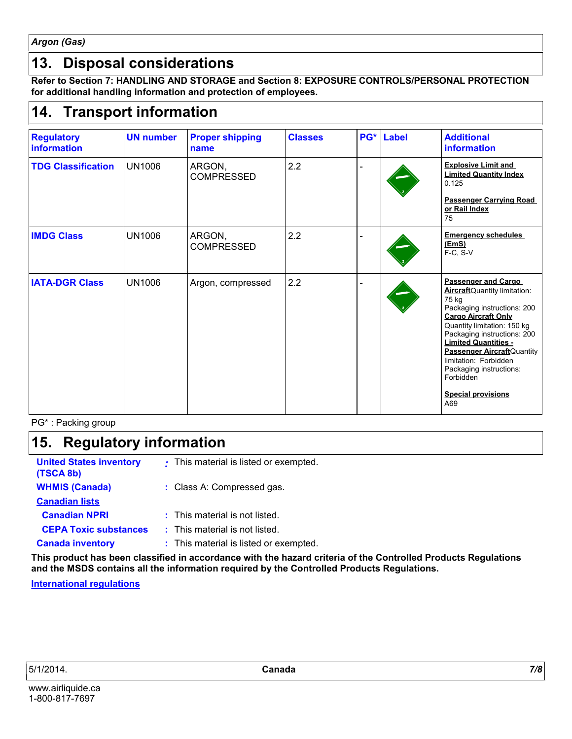*Argon (Gas)*

### **13. Disposal considerations**

**Refer to Section 7: HANDLING AND STORAGE and Section 8: EXPOSURE CONTROLS/PERSONAL PROTECTION for additional handling information and protection of employees.**

### **Transport information 14.**

| <b>Regulatory</b><br><b>information</b> | <b>UN number</b> | <b>Proper shipping</b><br>name | <b>Classes</b> | PG* | <b>Label</b> | <b>Additional</b><br>information                                                                                                                                                                                                                                                                                                                                         |
|-----------------------------------------|------------------|--------------------------------|----------------|-----|--------------|--------------------------------------------------------------------------------------------------------------------------------------------------------------------------------------------------------------------------------------------------------------------------------------------------------------------------------------------------------------------------|
| <b>TDG Classification</b>               | <b>UN1006</b>    | ARGON,<br><b>COMPRESSED</b>    | 2.2            |     |              | <b>Explosive Limit and</b><br><b>Limited Quantity Index</b><br>0.125<br><b>Passenger Carrying Road</b><br>or Rail Index<br>75                                                                                                                                                                                                                                            |
| <b>IMDG Class</b>                       | <b>UN1006</b>    | ARGON,<br><b>COMPRESSED</b>    | 2.2            |     |              | <b>Emergency schedules</b><br>(EmS)<br>F-C, S-V                                                                                                                                                                                                                                                                                                                          |
| <b>IATA-DGR Class</b>                   | <b>UN1006</b>    | Argon, compressed              | 2.2            |     |              | <b>Passenger and Cargo</b><br>AircraftQuantity limitation:<br>75 kg<br>Packaging instructions: 200<br><b>Cargo Aircraft Only</b><br>Quantity limitation: 150 kg<br>Packaging instructions: 200<br><b>Limited Quantities -</b><br><b>Passenger Aircraft</b> Quantity<br>limitation: Forbidden<br>Packaging instructions:<br>Forbidden<br><b>Special provisions</b><br>A69 |

PG\* : Packing group

### **Regulatory information 15.**

| <b>United States inventory</b><br>(TSCA 8b) | : This material is listed or exempted. |
|---------------------------------------------|----------------------------------------|
| <b>WHMIS (Canada)</b>                       | : Class A: Compressed gas.             |
| <b>Canadian lists</b>                       |                                        |
| <b>Canadian NPRI</b>                        | : This material is not listed.         |
| <b>CEPA Toxic substances</b>                | : This material is not listed.         |
| <b>Canada inventory</b>                     | : This material is listed or exempted. |

**This product has been classified in accordance with the hazard criteria of the Controlled Products Regulations and the MSDS contains all the information required by the Controlled Products Regulations.**

#### **International regulations**